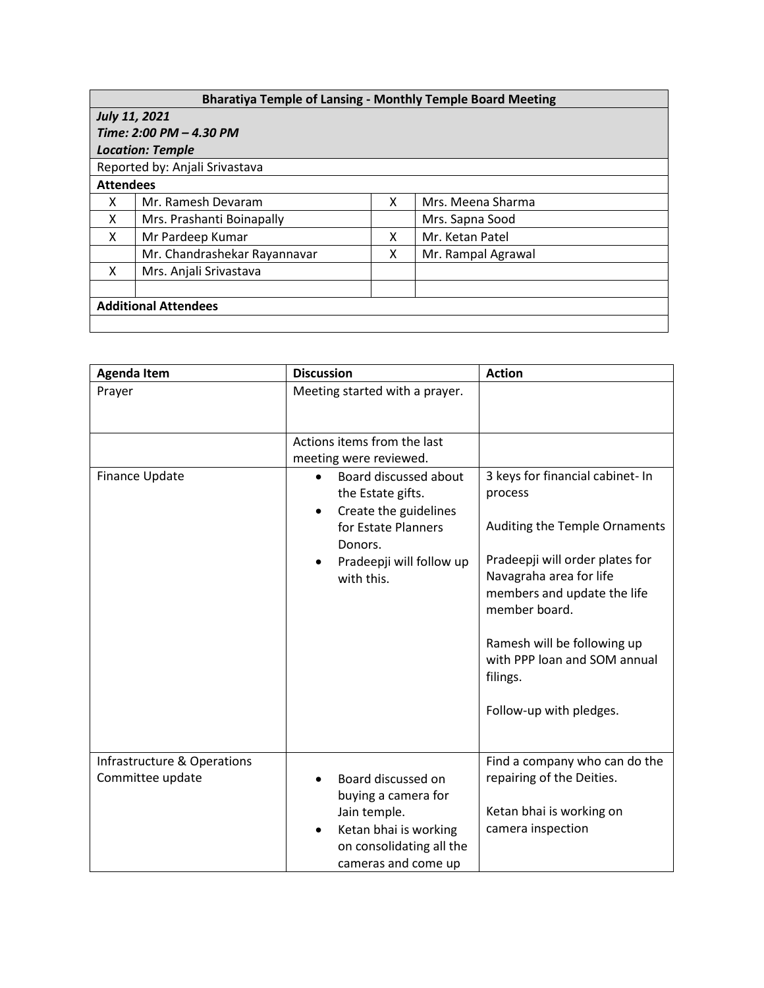## **Bharatiya Temple of Lansing - Monthly Temple Board Meeting**

| <b>July 11, 2021</b>           |                              |   |                    |  |  |  |
|--------------------------------|------------------------------|---|--------------------|--|--|--|
| Time: 2:00 PM - 4.30 PM        |                              |   |                    |  |  |  |
| <b>Location: Temple</b>        |                              |   |                    |  |  |  |
| Reported by: Anjali Srivastava |                              |   |                    |  |  |  |
| <b>Attendees</b>               |                              |   |                    |  |  |  |
| x                              | Mr. Ramesh Devaram           | x | Mrs. Meena Sharma  |  |  |  |
| X                              | Mrs. Prashanti Boinapally    |   | Mrs. Sapna Sood    |  |  |  |
| X                              | Mr Pardeep Kumar             | x | Mr. Ketan Patel    |  |  |  |
|                                | Mr. Chandrashekar Rayannavar | x | Mr. Rampal Agrawal |  |  |  |
| X                              | Mrs. Anjali Srivastava       |   |                    |  |  |  |
|                                |                              |   |                    |  |  |  |
| <b>Additional Attendees</b>    |                              |   |                    |  |  |  |
|                                |                              |   |                    |  |  |  |

| <b>Agenda Item</b>                              | <b>Discussion</b>                                                                                                                                                         | <b>Action</b>                                                                                                                                                                                                                                                                                    |
|-------------------------------------------------|---------------------------------------------------------------------------------------------------------------------------------------------------------------------------|--------------------------------------------------------------------------------------------------------------------------------------------------------------------------------------------------------------------------------------------------------------------------------------------------|
| Prayer                                          | Meeting started with a prayer.                                                                                                                                            |                                                                                                                                                                                                                                                                                                  |
|                                                 | Actions items from the last<br>meeting were reviewed.                                                                                                                     |                                                                                                                                                                                                                                                                                                  |
| Finance Update                                  | Board discussed about<br>$\bullet$<br>the Estate gifts.<br>Create the guidelines<br>$\bullet$<br>for Estate Planners<br>Donors.<br>Pradeepji will follow up<br>with this. | 3 keys for financial cabinet- In<br>process<br>Auditing the Temple Ornaments<br>Pradeepji will order plates for<br>Navagraha area for life<br>members and update the life<br>member board.<br>Ramesh will be following up<br>with PPP loan and SOM annual<br>filings.<br>Follow-up with pledges. |
| Infrastructure & Operations<br>Committee update | Board discussed on<br>buying a camera for<br>Jain temple.<br>Ketan bhai is working<br>on consolidating all the<br>cameras and come up                                     | Find a company who can do the<br>repairing of the Deities.<br>Ketan bhai is working on<br>camera inspection                                                                                                                                                                                      |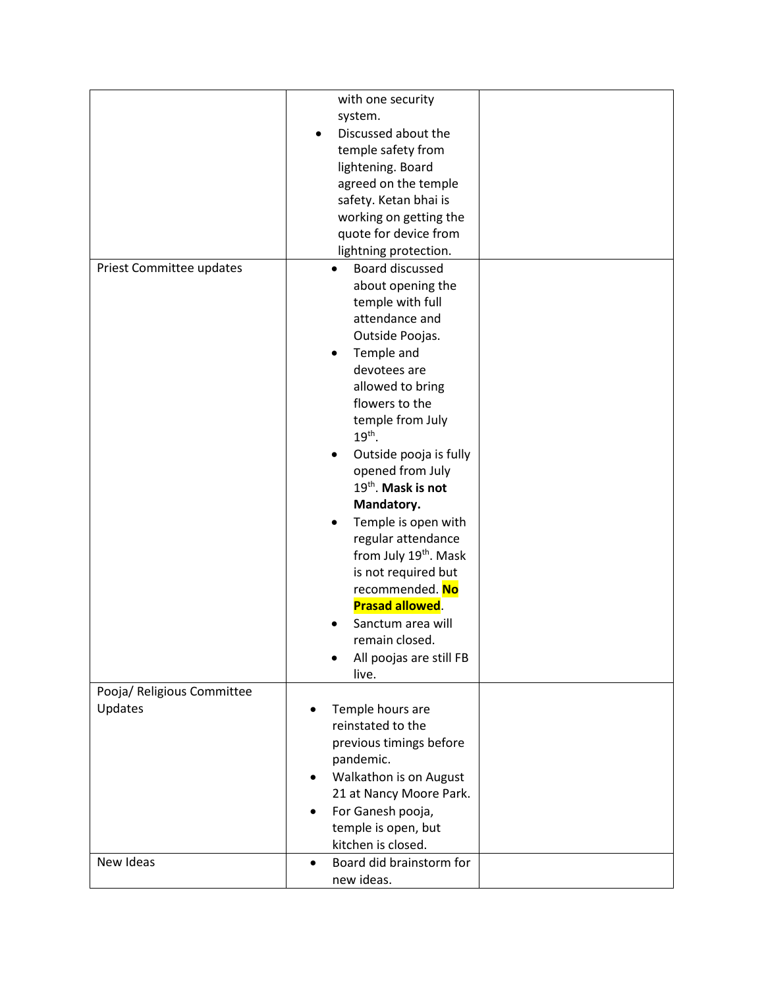|                            | with one security                     |  |
|----------------------------|---------------------------------------|--|
|                            | system.                               |  |
|                            | Discussed about the                   |  |
|                            | temple safety from                    |  |
|                            | lightening. Board                     |  |
|                            | agreed on the temple                  |  |
|                            | safety. Ketan bhai is                 |  |
|                            | working on getting the                |  |
|                            | quote for device from                 |  |
|                            | lightning protection.                 |  |
| Priest Committee updates   | Board discussed                       |  |
|                            | about opening the                     |  |
|                            | temple with full                      |  |
|                            | attendance and                        |  |
|                            | Outside Poojas.                       |  |
|                            | Temple and<br>$\bullet$               |  |
|                            | devotees are                          |  |
|                            | allowed to bring                      |  |
|                            | flowers to the                        |  |
|                            | temple from July                      |  |
|                            | $19th$ .                              |  |
|                            | Outside pooja is fully                |  |
|                            | opened from July                      |  |
|                            | 19 <sup>th</sup> . Mask is not        |  |
|                            | Mandatory.                            |  |
|                            | Temple is open with                   |  |
|                            | regular attendance                    |  |
|                            | from July 19th. Mask                  |  |
|                            | is not required but                   |  |
|                            | recommended. No                       |  |
|                            | <b>Prasad allowed.</b>                |  |
|                            | Sanctum area will                     |  |
|                            | remain closed.                        |  |
|                            |                                       |  |
|                            | All poojas are still FB               |  |
| Pooja/ Religious Committee | live.                                 |  |
|                            |                                       |  |
| Updates                    | Temple hours are<br>reinstated to the |  |
|                            |                                       |  |
|                            | previous timings before               |  |
|                            | pandemic.                             |  |
|                            | Walkathon is on August<br>٠           |  |
|                            | 21 at Nancy Moore Park.               |  |
|                            | For Ganesh pooja,<br>$\bullet$        |  |
|                            | temple is open, but                   |  |
|                            | kitchen is closed.                    |  |
| New Ideas                  | Board did brainstorm for<br>$\bullet$ |  |
|                            | new ideas.                            |  |